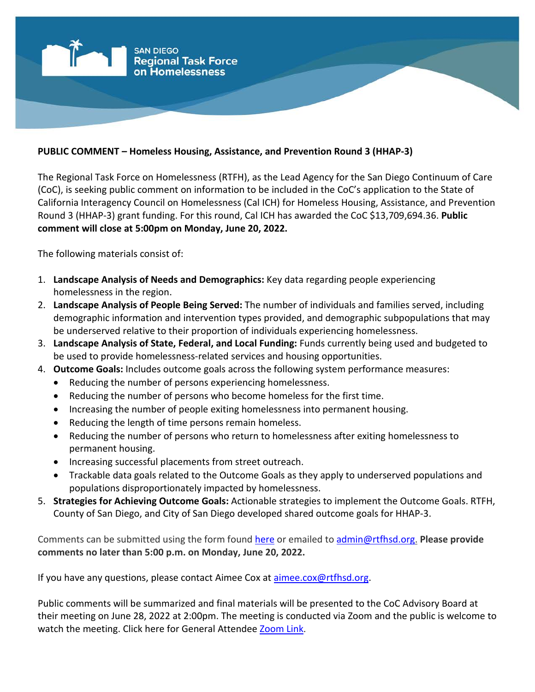

## **PUBLIC COMMENT – Homeless Housing, Assistance, and Prevention Round 3 (HHAP-3)**

The Regional Task Force on Homelessness (RTFH), as the Lead Agency for the San Diego Continuum of Care (CoC), is seeking public comment on information to be included in the CoC's application to the State of California Interagency Council on Homelessness (Cal ICH) for Homeless Housing, Assistance, and Prevention Round 3 (HHAP-3) grant funding. For this round, Cal ICH has awarded the CoC \$13,709,694.36. **Public comment will close at 5:00pm on Monday, June 20, 2022.**

The following materials consist of:

- 1. **Landscape Analysis of Needs and Demographics:** Key data regarding people experiencing homelessness in the region.
- 2. **Landscape Analysis of People Being Served:** The number of individuals and families served, including demographic information and intervention types provided, and demographic subpopulations that may be underserved relative to their proportion of individuals experiencing homelessness.
- 3. **Landscape Analysis of State, Federal, and Local Funding:** Funds currently being used and budgeted to be used to provide homelessness-related services and housing opportunities.
- 4. **Outcome Goals:** Includes outcome goals across the following system performance measures:
	- Reducing the number of persons experiencing homelessness.
	- Reducing the number of persons who become homeless for the first time.
	- Increasing the number of people exiting homelessness into permanent housing.
	- Reducing the length of time persons remain homeless.
	- Reducing the number of persons who return to homelessness after exiting homelessness to permanent housing.
	- Increasing successful placements from street outreach.
	- Trackable data goals related to the Outcome Goals as they apply to underserved populations and populations disproportionately impacted by homelessness.
- 5. **Strategies for Achieving Outcome Goals:** Actionable strategies to implement the Outcome Goals. RTFH, County of San Diego, and City of San Diego developed shared outcome goals for HHAP-3.

Comments can be submitted using the form found [here](https://www.surveymonkey.com/r/538HCRN) or emailed to [admin@rtfhsd.org.](mailto:admin@rtfhsd.org) **Please provide comments no later than 5:00 p.m. on Monday, June 20, 2022.**

If you have any questions, please contact Aimee Cox at [aimee.cox@rtfhsd.org.](mailto:aimee.cox@rtfhsd.org)

Public comments will be summarized and final materials will be presented to the CoC Advisory Board at their meeting on June 28, 2022 at 2:00pm. The meeting is conducted via Zoom and the public is welcome to watch the meeting. Click here for General Attendee [Zoom Link.](https://us02web.zoom.us/j/89480377352)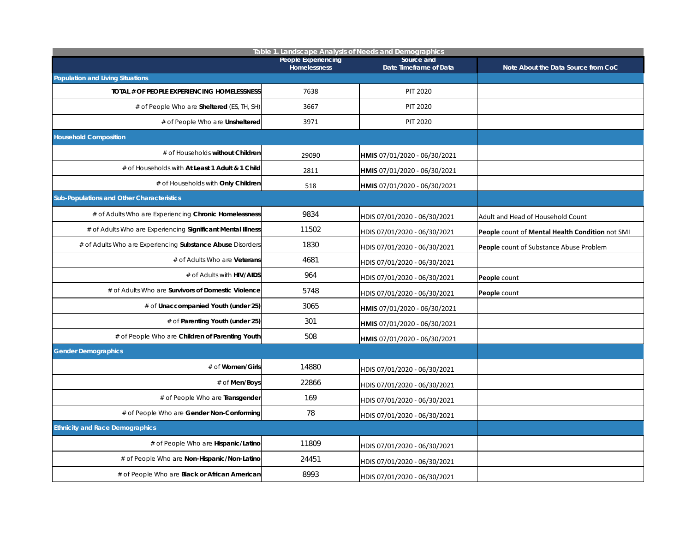| Table 1. Landscape Analysis of Needs and Demographics       |                                     |                                      |                                                 |  |  |  |
|-------------------------------------------------------------|-------------------------------------|--------------------------------------|-------------------------------------------------|--|--|--|
|                                                             | People Experiencing<br>Homelessness | Source and<br>Date Timeframe of Data | Note About the Data Source from CoC             |  |  |  |
| <b>Population and Living Situations</b>                     |                                     |                                      |                                                 |  |  |  |
| TOTAL # OF PEOPLE EXPERIENCING HOMELESSNESS                 | 7638                                | <b>PIT 2020</b>                      |                                                 |  |  |  |
| # of People Who are Sheltered (ES, TH, SH)                  | 3667                                | <b>PIT 2020</b>                      |                                                 |  |  |  |
| # of People Who are Unsheltered                             | 3971                                | <b>PIT 2020</b>                      |                                                 |  |  |  |
| <b>Household Composition</b>                                |                                     |                                      |                                                 |  |  |  |
| # of Households without Children                            | 29090                               | HMIS 07/01/2020 - 06/30/2021         |                                                 |  |  |  |
| # of Households with At Least 1 Adult & 1 Child             | 2811                                | HMIS 07/01/2020 - 06/30/2021         |                                                 |  |  |  |
| # of Households with Only Children                          | 518                                 | HMIS 07/01/2020 - 06/30/2021         |                                                 |  |  |  |
| Sub-Populations and Other Characteristics                   |                                     |                                      |                                                 |  |  |  |
| # of Adults Who are Experiencing Chronic Homelessness       | 9834                                | HDIS 07/01/2020 - 06/30/2021         | Adult and Head of Household Count               |  |  |  |
| # of Adults Who are Experiencing Significant Mental Illness | 11502                               | HDIS 07/01/2020 - 06/30/2021         | People count of Mental Health Condition not SMI |  |  |  |
| # of Adults Who are Experiencing Substance Abuse Disorders  | 1830                                | HDIS 07/01/2020 - 06/30/2021         | People count of Substance Abuse Problem         |  |  |  |
| # of Adults Who are Veterans                                | 4681                                | HDIS 07/01/2020 - 06/30/2021         |                                                 |  |  |  |
| # of Adults with HIV/AIDS                                   | 964                                 | HDIS 07/01/2020 - 06/30/2021         | People count                                    |  |  |  |
| # of Adults Who are Survivors of Domestic Violence          | 5748                                | HDIS 07/01/2020 - 06/30/2021         | People count                                    |  |  |  |
| # of Unaccompanied Youth (under 25)                         | 3065                                | HMIS 07/01/2020 - 06/30/2021         |                                                 |  |  |  |
| # of Parenting Youth (under 25)                             | 301                                 | HMIS 07/01/2020 - 06/30/2021         |                                                 |  |  |  |
| # of People Who are Children of Parenting Youth             | 508                                 | HMIS 07/01/2020 - 06/30/2021         |                                                 |  |  |  |
| <b>Gender Demographics</b>                                  |                                     |                                      |                                                 |  |  |  |
| # of Women/Girls                                            | 14880                               | HDIS 07/01/2020 - 06/30/2021         |                                                 |  |  |  |
| # of Men/Boys                                               | 22866                               | HDIS 07/01/2020 - 06/30/2021         |                                                 |  |  |  |
| # of People Who are Transgender                             | 169                                 | HDIS 07/01/2020 - 06/30/2021         |                                                 |  |  |  |
| # of People Who are Gender Non-Conforming                   | 78                                  | HDIS 07/01/2020 - 06/30/2021         |                                                 |  |  |  |
| <b>Ethnicity and Race Demographics</b>                      |                                     |                                      |                                                 |  |  |  |
| # of People Who are Hispanic/Latino                         | 11809                               | HDIS 07/01/2020 - 06/30/2021         |                                                 |  |  |  |
| # of People Who are Non-Hispanic/Non-Latino                 | 24451                               | HDIS 07/01/2020 - 06/30/2021         |                                                 |  |  |  |
| # of People Who are Black or African American               | 8993                                | HDIS 07/01/2020 - 06/30/2021         |                                                 |  |  |  |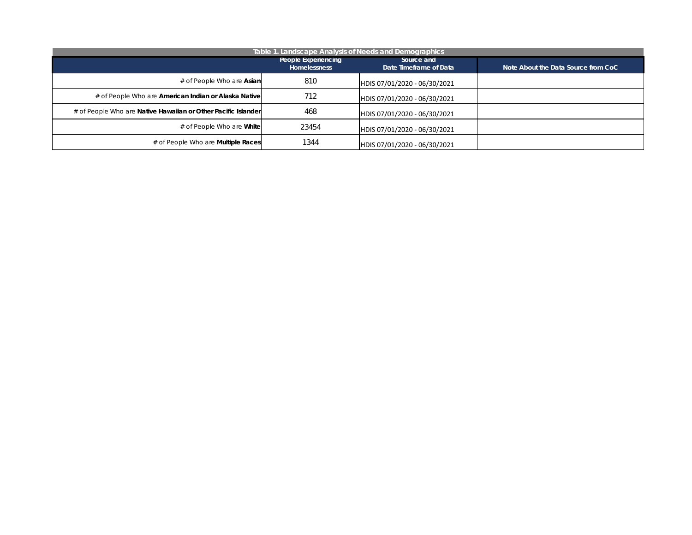|                                                               | Table 1. Landscape Analysis of Needs and Demographics |                                      |                                     |
|---------------------------------------------------------------|-------------------------------------------------------|--------------------------------------|-------------------------------------|
|                                                               | People Experiencing<br>Homelessness                   | Source and<br>Date Timeframe of Data | Note About the Data Source from CoC |
| # of People Who are Asian                                     | 810                                                   | HDIS 07/01/2020 - 06/30/2021         |                                     |
| # of People Who are American Indian or Alaska Native          | 712                                                   | HDIS 07/01/2020 - 06/30/2021         |                                     |
| # of People Who are Native Hawaiian or Other Pacific Islander | 468                                                   | HDIS 07/01/2020 - 06/30/2021         |                                     |
| # of People Who are <b>White</b>                              | 23454                                                 | HDIS 07/01/2020 - 06/30/2021         |                                     |
| # of People Who are <b>Multiple Races</b>                     | 1344                                                  | HDIS 07/01/2020 - 06/30/2021         |                                     |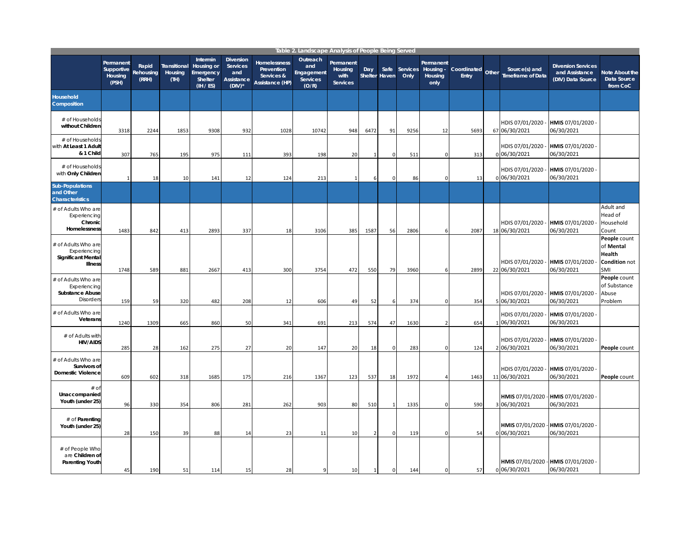|                                                                                   |                                             |                             |                                 |                                                             |                                                                       |                                                             | Table 2. Landscape Analysis of People Being Served        |                                                 |                |                       |                  |                                           |                      |       |                                                   |                                                                  |                                                             |
|-----------------------------------------------------------------------------------|---------------------------------------------|-----------------------------|---------------------------------|-------------------------------------------------------------|-----------------------------------------------------------------------|-------------------------------------------------------------|-----------------------------------------------------------|-------------------------------------------------|----------------|-----------------------|------------------|-------------------------------------------|----------------------|-------|---------------------------------------------------|------------------------------------------------------------------|-------------------------------------------------------------|
|                                                                                   | Permanent<br>Supportive<br>Housing<br>(PSH) | Rapid<br>Rehousing<br>(RRH) | Transitional<br>Housing<br>(TH) | Intermin<br>Housing or<br>Emergency<br>Shelter<br>(IH / ES) | <b>Diversion</b><br>Services<br>and<br><b>Assistance</b><br>$(DIV)^*$ | Homelessness<br>Prevention<br>Services &<br>Assistance (HP) | Outreach<br>and<br>Engagement<br><b>Services</b><br>(O/R) | Permanent<br>Housing<br>with<br><b>Services</b> | Day            | Safe<br>Shelter Haven | Services<br>Only | Permanent<br>Housing -<br>Housing<br>only | Coordinated<br>Entry | Other | Source(s) and<br><b>Timeframe of Data</b>         | <b>Diversion Services</b><br>and Assistance<br>(DIV) Data Source | <b>Note About the</b><br>Data Source<br>from CoC            |
| Household<br>Composition                                                          |                                             |                             |                                 |                                                             |                                                                       |                                                             |                                                           |                                                 |                |                       |                  |                                           |                      |       |                                                   |                                                                  |                                                             |
| # of Households<br>without Children                                               | 3318                                        | 2244                        | 1853                            | 9308                                                        | 932                                                                   | 1028                                                        | 10742                                                     | 948                                             | 6472           | 91                    | 9256             | 12                                        | 5693                 |       | HDIS 07/01/2020<br>67 06/30/2021                  | HMIS 07/01/2020<br>06/30/2021                                    |                                                             |
| # of Households<br>vith At Least 1 Adult<br>& 1 Child                             | 307                                         | 765                         | 195                             | 975                                                         | 111                                                                   | 393                                                         | 198                                                       | 20                                              |                | $\pmb{0}$             | 511              | 0                                         | 313                  |       | HDIS 07/01/2020<br>0 06/30/2021                   | HMIS 07/01/2020<br>06/30/2021                                    |                                                             |
| # of Households<br>with Only Children                                             |                                             | 18                          | 10                              | 141                                                         | 12                                                                    | 124                                                         | 213                                                       | $\mathbf{1}$                                    | 6              | $\Omega$              | 86               | $\Omega$                                  | 13                   |       | HDIS 07/01/2020<br>0 06/30/2021                   | HMIS 07/01/2020<br>06/30/2021                                    |                                                             |
| <b>Sub-Populations</b><br>and Other<br><b>Characteristics</b>                     |                                             |                             |                                 |                                                             |                                                                       |                                                             |                                                           |                                                 |                |                       |                  |                                           |                      |       |                                                   |                                                                  |                                                             |
| # of Adults Who are<br>Experiencing<br>Chronic<br>Homelessness                    | 1483                                        | 842                         | 413                             | 2893                                                        | 337                                                                   | 18                                                          | 3106                                                      | 385                                             | 1587           | 56                    | 2806             | 6                                         | 2087                 |       | HDIS 07/01/2020<br>18 06/30/2021                  | HMIS 07/01/2020<br>06/30/2021                                    | Adult and<br>Head of<br>Household<br>Count                  |
| # of Adults Who are<br>Experiencing<br><b>Significant Mental</b><br>Illness       | 1748                                        | 589                         | 881                             | 2667                                                        | 413                                                                   | 300                                                         | 3754                                                      | 472                                             | 550            | 79                    | 3960             |                                           | 2899                 |       | HDIS 07/01/2020<br>22 06/30/2021                  | HMIS 07/01/2020<br>06/30/2021                                    | People count<br>of Mental<br>Health<br>Condition not<br>SMI |
| # of Adults Who are<br>Experiencing<br><b>Substance Abuse</b><br><b>Disorders</b> | 159                                         | 59                          | 320                             | 482                                                         | 208                                                                   | 12                                                          | 606                                                       | 49                                              | 52             | 6                     | 374              | $\Omega$                                  | 354                  |       | HDIS 07/01/2020<br>5 06/30/2021                   | HMIS 07/01/2020<br>06/30/2021                                    | People count<br>of Substance<br>Abuse<br>Problem            |
| # of Adults Who are<br>Veterans                                                   | 1240                                        | 1309                        | 665                             | 860                                                         | 50                                                                    | 341                                                         | 691                                                       | 213                                             | 574            | 47                    | 1630             | $\overline{2}$                            | 654                  | -1    | HDIS 07/01/2020<br>06/30/2021                     | HMIS 07/01/2020<br>06/30/2021                                    |                                                             |
| # of Adults with<br><b>HIV/AIDS</b>                                               | 285                                         | 28                          | 162                             | 275                                                         | 27                                                                    | 20                                                          | 147                                                       | 20                                              | 18             | $\mathbf 0$           | 283              | $\mathbf{0}$                              | 124                  |       | HDIS 07/01/2020<br>2 06/30/2021                   | HMIS 07/01/2020<br>06/30/2021                                    | People count                                                |
| # of Adults Who are<br>Survivors of<br><b>Domestic Violence</b>                   | 609                                         | 602                         | 318                             | 1685                                                        | 175                                                                   | 216                                                         | 1367                                                      | 123                                             | 537            | 18                    | 1972             | $\overline{4}$                            | 1463                 |       | HDIS 07/01/2020<br>11 06/30/2021                  | HMIS 07/01/2020<br>06/30/2021                                    | People count                                                |
| $#$ of<br>Unaccompanied<br>Youth (under 25)                                       | 96                                          | 330                         | 354                             | 806                                                         | 281                                                                   | 262                                                         | 903                                                       | 80                                              | 510            | $\mathbf{1}$          | 1335             | $\mathbf 0$                               | 590                  |       | HMIS 07/01/2020 - HMIS 07/01/2020<br>3 06/30/2021 | 06/30/2021                                                       |                                                             |
| # of Parenting<br>Youth (under 25)                                                | 28                                          | 150                         | 39                              | 88                                                          | 14                                                                    | 23                                                          | 11                                                        | 10                                              | $\overline{2}$ | 0                     | 119              | $\mathbf 0$                               | 54                   |       | HMIS 07/01/2020 - HMIS 07/01/2020<br>0 06/30/2021 | 06/30/2021                                                       |                                                             |
| # of People Who<br>are Children of<br><b>Parenting Youth</b>                      | 45                                          | 190                         | 51                              | 114                                                         | 15                                                                    | 28                                                          | 9                                                         | 10                                              |                | 0                     | 144              | $\Omega$                                  | 57                   |       | 0 06/30/2021                                      | HMIS 07/01/2020 - HMIS 07/01/2020 -<br>06/30/2021                |                                                             |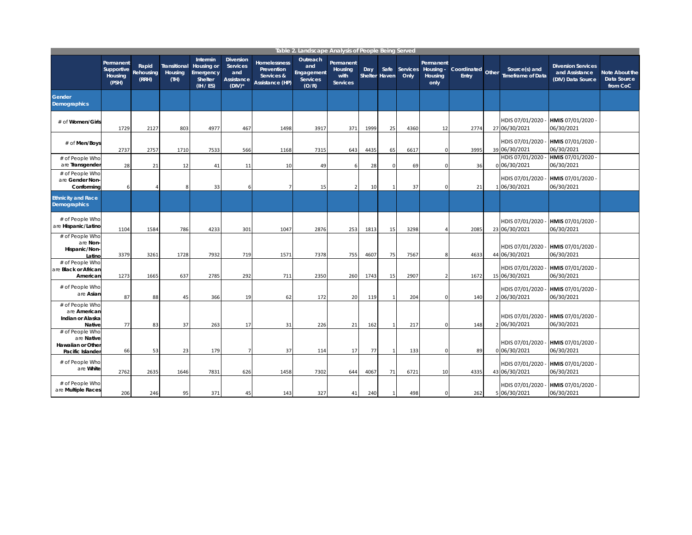|                                                                               |                                             |                             |                                 |                                                             |                                                                       |                                                                    | Table 2. Landscape Analysis of People Being Served |                                                 |                      |              |                  |                                           |                      |       |                                           |                                                                  |                                                  |
|-------------------------------------------------------------------------------|---------------------------------------------|-----------------------------|---------------------------------|-------------------------------------------------------------|-----------------------------------------------------------------------|--------------------------------------------------------------------|----------------------------------------------------|-------------------------------------------------|----------------------|--------------|------------------|-------------------------------------------|----------------------|-------|-------------------------------------------|------------------------------------------------------------------|--------------------------------------------------|
|                                                                               | Permanent<br>Supportive<br>Housing<br>(PSH) | Rapid<br>Rehousing<br>(RRH) | Transitional<br>Housing<br>(TH) | Intermin<br>Housing or<br>Emergency<br>Shelter<br>(IH / ES) | <b>Diversion</b><br><b>Services</b><br>and<br>Assistance<br>$(DIV)^*$ | <b>Homelessness</b><br>Prevention<br>Services &<br>Assistance (HP) | Outreach<br>and<br>Engagement<br>Services<br>(O/R) | Permanent<br>Housing<br>with<br><b>Services</b> | Day<br>Shelter Haven | Safe         | Services<br>Only | Permanent<br>Housing -<br>Housing<br>only | Coordinated<br>Entry | Other | Source(s) and<br><b>Timeframe of Data</b> | <b>Diversion Services</b><br>and Assistance<br>(DIV) Data Source | Note About the<br><b>Data Source</b><br>from CoC |
| <b>Gender</b><br><b>Demographics</b>                                          |                                             |                             |                                 |                                                             |                                                                       |                                                                    |                                                    |                                                 |                      |              |                  |                                           |                      |       |                                           |                                                                  |                                                  |
| # of Women/Girls                                                              | 1729                                        | 2127                        | 803                             | 4977                                                        | 467                                                                   | 1498                                                               | 3917                                               | 371                                             | 1999                 | 25           | 4360             | 12                                        | 2774                 |       | HDIS 07/01/2020<br>27 06/30/2021          | HMIS 07/01/2020 -<br>06/30/2021                                  |                                                  |
| # of Men/Boys                                                                 | 2737                                        | 2757                        | 1710                            | 7533                                                        | 566                                                                   | 1168                                                               | 7315                                               | 643                                             | 4435                 | 65           | 6617             | $\mathbf 0$                               | 3995                 |       | HDIS 07/01/2020<br>39 06/30/2021          | HMIS 07/01/2020<br>06/30/2021                                    |                                                  |
| # of People Who<br>are Transgender                                            | 28                                          | 21                          | 12                              | 41                                                          | 11                                                                    | 10                                                                 | 49                                                 | 6                                               | 28                   | $\mathbf 0$  | 69               | $\Omega$                                  | 36                   |       | HDIS 07/01/2020 -<br>0 06/30/2021         | HMIS 07/01/2020<br>06/30/2021                                    |                                                  |
| # of People Who<br>are Gender Non-<br>Conforming                              |                                             |                             |                                 | 33                                                          |                                                                       | 7                                                                  | 15                                                 | 2                                               | 10                   | $\mathbf{1}$ | 37               | $\Omega$                                  | 21                   |       | HDIS 07/01/2020 -<br>1 06/30/2021         | HMIS 07/01/2020<br>06/30/2021                                    |                                                  |
| <b>Ethnicity and Race</b><br><b>Demographics</b>                              |                                             |                             |                                 |                                                             |                                                                       |                                                                    |                                                    |                                                 |                      |              |                  |                                           |                      |       |                                           |                                                                  |                                                  |
| # of People Who<br>are Hispanic/Latino                                        | 1104                                        | 1584                        | 786                             | 4233                                                        | 301                                                                   | 1047                                                               | 2876                                               | 253                                             | 1813                 | 15           | 3298             |                                           | 2085                 |       | HDIS 07/01/2020<br>23 06/30/2021          | HMIS 07/01/2020<br>06/30/2021                                    |                                                  |
| # of People Who<br>are Non-<br>Hispanic/Non-<br>Latinc                        | 3379                                        | 3261                        | 1728                            | 7932                                                        | 719                                                                   | 1571                                                               | 7378                                               | 755                                             | 4607                 | 75           | 7567             | 8                                         | 4633                 |       | HDIS 07/01/2020<br>44 06/30/2021          | HMIS 07/01/2020<br>06/30/2021                                    |                                                  |
| # of People Who<br>are Black or African<br>American                           | 1273                                        | 1665                        | 637                             | 2785                                                        | 292                                                                   | 711                                                                | 2350                                               | 260                                             | 1743                 | 15           | 2907             | $\overline{2}$                            | 1672                 |       | HDIS 07/01/2020<br>15 06/30/2021          | HMIS 07/01/2020<br>06/30/2021                                    |                                                  |
| # of People Who<br>are Asian                                                  | 87                                          | 88                          | 45                              | 366                                                         | 19                                                                    | 62                                                                 | 172                                                | 20                                              | 119                  | $\mathbf{1}$ | 204              | $\Omega$                                  | 140                  |       | HDIS 07/01/2020 -<br>2 06/30/2021         | HMIS 07/01/2020<br>06/30/2021                                    |                                                  |
| # of People Who<br>are American<br>Indian or Alaska<br>Native                 | 77                                          | 83                          | 37                              | 263                                                         | 17                                                                    | 31                                                                 | 226                                                | 21                                              | 162                  | $\mathbf{1}$ | 217              | $\Omega$                                  | 148                  |       | HDIS 07/01/2020<br>2 06/30/2021           | HMIS 07/01/2020<br>06/30/2021                                    |                                                  |
| # of People Who<br>are Native<br><b>Hawaiian or Other</b><br>Pacific Islander | 66                                          | 53                          | 23                              | 179                                                         |                                                                       | 37                                                                 | 114                                                | 17                                              | 77                   | $\mathbf{1}$ | 133              | $\Omega$                                  | 89                   |       | HDIS 07/01/2020 -<br>0 06/30/2021         | HMIS 07/01/2020<br>06/30/2021                                    |                                                  |
| # of People Who<br>are White                                                  | 2762                                        | 2635                        | 1646                            | 7831                                                        | 626                                                                   | 1458                                                               | 7302                                               | 644                                             | 4067                 | 71           | 6721             | 10                                        | 4335                 |       | HDIS 07/01/2020 -<br>43 06/30/2021        | HMIS 07/01/2020 -<br>06/30/2021                                  |                                                  |
| # of People Who<br>are Multiple Races                                         | 206                                         | 246                         | 95                              | 371                                                         | 45                                                                    | 143                                                                | 327                                                | 41                                              | 240                  | $\mathbf{1}$ | 498              | $\mathbf 0$                               | 262                  |       | HDIS 07/01/2020<br>5 06/30/2021           | HMIS 07/01/2020 ·<br>06/30/2021                                  |                                                  |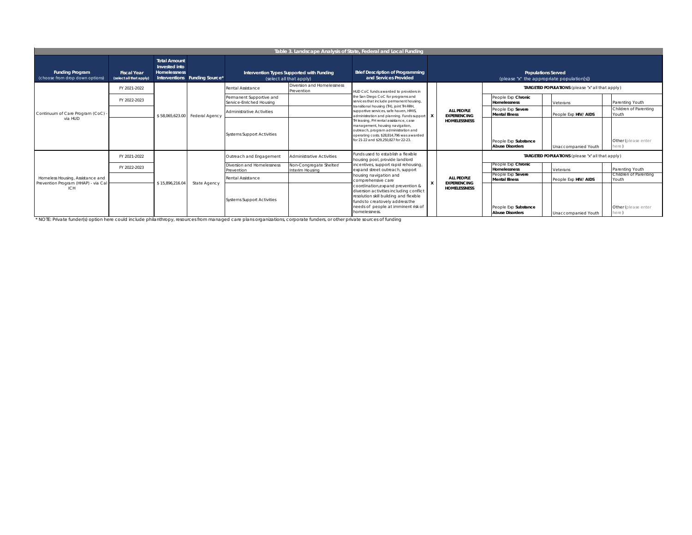|                                                                                       | Table 3. Landscape Analysis of State, Federal and Local Funding                                                                                                                   |                                                      |                               |                                                      |                                                                      |                                                                                                                                                                                                                   |                     |                                                |                                                  |                                                                         |                              |                                |
|---------------------------------------------------------------------------------------|-----------------------------------------------------------------------------------------------------------------------------------------------------------------------------------|------------------------------------------------------|-------------------------------|------------------------------------------------------|----------------------------------------------------------------------|-------------------------------------------------------------------------------------------------------------------------------------------------------------------------------------------------------------------|---------------------|------------------------------------------------|--------------------------------------------------|-------------------------------------------------------------------------|------------------------------|--------------------------------|
| <b>Funding Program</b><br>(choose from drop down options)                             | <b>Fiscal Year</b><br>(select all that apply)                                                                                                                                     | <b>Total Amount</b><br>Invested into<br>Homelessness | Interventions Funding Source* |                                                      | Intervention Types Supported with Funding<br>(select all that apply) | <b>Brief Description of Programming</b><br>and Services Provided                                                                                                                                                  |                     |                                                |                                                  | <b>Populations Served</b><br>(please "x" the appropriate population[s]) |                              |                                |
|                                                                                       | FY 2021-2022                                                                                                                                                                      |                                                      |                               | <b>Rental Assistance</b>                             | Diversion and Homelessness<br>Prevention                             | HUD CoC funds awarded to providers in                                                                                                                                                                             |                     |                                                | TARGETED POPULATIONS (please "x" all that apply) |                                                                         |                              |                                |
|                                                                                       | FY 2022-2023                                                                                                                                                                      |                                                      |                               | Permanent Supportive and<br>Service-Enriched Housing |                                                                      | the San Diego CoC for programs and<br>services that include permanent housing                                                                                                                                     |                     |                                                | People Exp Chronic<br><b>Homelessness</b>        | Veterans                                                                |                              | Parenting Youth                |
| Continuum of Care Program (CoC)<br>via HUD                                            |                                                                                                                                                                                   | \$58,065,623.00                                      | Federal Agency                | <b>Administrative Activities</b>                     |                                                                      | transitional housing (TH), joint TH-RRH,<br>supportive services, safe haven. HMIS.<br>administration and planning. Funds support X                                                                                |                     | ALL PEOPLE<br><b>EXPERIENCING</b>              | People Exp Severe<br><b>Mental Illness</b>       | People Exp HIV/ AIDS                                                    |                              | Children of Parenting<br>Youth |
|                                                                                       |                                                                                                                                                                                   |                                                      |                               | <b>Systems Support Activities</b>                    |                                                                      | TH leasing, PH rental assistance, case<br>management, housing navigation,<br>outreach, program administration and<br>operating costs. \$28,814,796 was awarded<br>for 21-22 and \$29.250.827 for 22-23.           | <b>HOMELESSNESS</b> | People Exp Substance<br><b>Abuse Disorders</b> | Unaccompanied Youth                              |                                                                         | Other (please enter<br>here' |                                |
|                                                                                       | FY 2021-2022                                                                                                                                                                      |                                                      |                               | Outreach and Engagement                              | <b>Administrative Activities</b>                                     | Funds used to establish a flexible<br>housing pool, provide landlord                                                                                                                                              |                     |                                                |                                                  | TARGETED POPULATIONS (please "x" all that apply)                        |                              |                                |
|                                                                                       | incentives, support rapid rehousing,<br>Diversion and Homelessness<br>Non-Congregate Shelter/<br>FY 2022-2023<br>expand street outreach, support<br>Interim Housing<br>Prevention |                                                      |                               |                                                      | People Exp Chronic<br>Homelessness                                   | Veterans                                                                                                                                                                                                          |                     | Parenting Youth                                |                                                  |                                                                         |                              |                                |
| Homeless Housing, Assistance and<br>Prevention Program (HHAP) - via Cal<br><b>ICH</b> |                                                                                                                                                                                   | \$15,896,216.0                                       | State Agency                  | Rental Assistance                                    |                                                                      | housing navigation and<br>comprehensive care                                                                                                                                                                      |                     | ALL PEOPLE<br><b>EXPERIENCING</b>              | People Exp Severe<br><b>Mental Illness</b>       | People Exp HIV/ AIDS                                                    |                              | Children of Parenting<br>Youth |
|                                                                                       |                                                                                                                                                                                   |                                                      |                               | <b>Systems Support Activities</b>                    |                                                                      | coordination, expand prevention &<br>diversion activities including conflict<br>resolution skill building and flexible<br>funds to creatovely address the<br>needs of people at imminent risk of<br>homelessness. |                     | <b>HOMELESSNESS</b>                            | People Exp Substance<br><b>Abuse Disorders</b>   | Unaccompanied Youth                                                     |                              | Other (please enter<br>here)   |

\* NOTE: Private funder(s) option here could include philanthropy, resources from managed care plans organizations, corporate funders, or other private sources of funding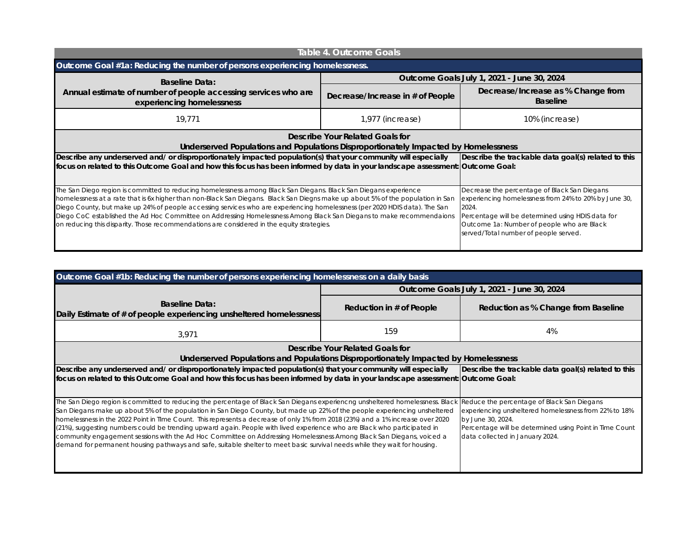|                                                                                                                                                                                                                                                                                                                                                                                                                                                                                                                                                                                                         | Table 4. Outcome Goals                              |                                                                                                                                                                                                                                                            |  |  |  |
|---------------------------------------------------------------------------------------------------------------------------------------------------------------------------------------------------------------------------------------------------------------------------------------------------------------------------------------------------------------------------------------------------------------------------------------------------------------------------------------------------------------------------------------------------------------------------------------------------------|-----------------------------------------------------|------------------------------------------------------------------------------------------------------------------------------------------------------------------------------------------------------------------------------------------------------------|--|--|--|
| Outcome Goal #1a: Reducing the number of persons experiencing homelessness.                                                                                                                                                                                                                                                                                                                                                                                                                                                                                                                             |                                                     |                                                                                                                                                                                                                                                            |  |  |  |
| <b>Baseline Data:</b>                                                                                                                                                                                                                                                                                                                                                                                                                                                                                                                                                                                   |                                                     | Outcome Goals July 1, 2021 - June 30, 2024                                                                                                                                                                                                                 |  |  |  |
| Annual estimate of number of people accessing services who are<br>experiencing homelessness                                                                                                                                                                                                                                                                                                                                                                                                                                                                                                             | Decrease/Increase in # of People                    | Decrease/Increase as % Change from<br><b>Baseline</b>                                                                                                                                                                                                      |  |  |  |
| 19.771                                                                                                                                                                                                                                                                                                                                                                                                                                                                                                                                                                                                  | 1,977 (increase)                                    | 10% (increase)                                                                                                                                                                                                                                             |  |  |  |
| Describe Your Related Goals for<br>Underserved Populations and Populations Disproportionately Impacted by Homelessness                                                                                                                                                                                                                                                                                                                                                                                                                                                                                  |                                                     |                                                                                                                                                                                                                                                            |  |  |  |
| Describe any underserved and/ or disproportionately impacted population(s) that your community will especially<br>focus on related to this Outcome Goal and how this focus has been informed by data in your landscape assessment:  Outcome Goal:                                                                                                                                                                                                                                                                                                                                                       | Describe the trackable data goal(s) related to this |                                                                                                                                                                                                                                                            |  |  |  |
| The San Diego region is committed to reducing homelessness among Black San Diegans. Black San Diegans experience<br>homelessness at a rate that is 6x higher than non-Black San Diegans. Black San Diegns make up about 5% of the population in San<br>Diego County, but make up 24% of people accessing services who are experiencing homelessness (per 2020 HDIS data). The San<br>Diego CoC established the Ad Hoc Committee on Addressing Homelessness Among Black San Diegans to make recommendaions<br>on reducing this disparity. Those recommendations are considered in the equity strategies. |                                                     | Decrease the percentage of Black San Diegans<br>experiencing homelessness from 24% to 20% by June 30,<br>2024.<br>Percentage will be determined using HDIS data for<br>Outcome 1a: Number of people who are Black<br>served/Total number of people served. |  |  |  |

| Outcome Goal #1b: Reducing the number of persons experiencing homelessness on a daily basis                                                                                                                                                                                                                                                                                                                                                                                                                                                                                                                                                                                                                                                                                      |                          |                                                                                                                                                                                                                        |  |  |  |
|----------------------------------------------------------------------------------------------------------------------------------------------------------------------------------------------------------------------------------------------------------------------------------------------------------------------------------------------------------------------------------------------------------------------------------------------------------------------------------------------------------------------------------------------------------------------------------------------------------------------------------------------------------------------------------------------------------------------------------------------------------------------------------|--------------------------|------------------------------------------------------------------------------------------------------------------------------------------------------------------------------------------------------------------------|--|--|--|
|                                                                                                                                                                                                                                                                                                                                                                                                                                                                                                                                                                                                                                                                                                                                                                                  |                          | Outcome Goals July 1, 2021 - June 30, 2024                                                                                                                                                                             |  |  |  |
| <b>Baseline Data:</b><br>Daily Estimate of # of people experiencing unsheltered homelessness                                                                                                                                                                                                                                                                                                                                                                                                                                                                                                                                                                                                                                                                                     | Reduction in # of People | Reduction as % Change from Baseline                                                                                                                                                                                    |  |  |  |
| 3,971                                                                                                                                                                                                                                                                                                                                                                                                                                                                                                                                                                                                                                                                                                                                                                            | 159                      | 4%                                                                                                                                                                                                                     |  |  |  |
| Describe Your Related Goals for<br>Underserved Populations and Populations Disproportionately Impacted by Homelessness                                                                                                                                                                                                                                                                                                                                                                                                                                                                                                                                                                                                                                                           |                          |                                                                                                                                                                                                                        |  |  |  |
| Describe any underserved and/ or disproportionately impacted population(s) that your community will especially<br>focus on related to this Outcome Goal and how this focus has been informed by data in your landscape assessment:  Outcome Goal:                                                                                                                                                                                                                                                                                                                                                                                                                                                                                                                                |                          | Describe the trackable data goal(s) related to this                                                                                                                                                                    |  |  |  |
| The San Diego region is committed to reducing the percentage of Black San Diegans experiencng unsheltered homelessness. Black<br>San Diegans make up about 5% of the population in San Diego County, but made up 22% of the people experiencing unsheltered<br>homelessness in the 2022 Point in TIme Count. This represents a decrease of only 1% from 2018 (23%) and a 1% increase over 2020<br>(21%), suggesting numbers could be trending upward again. People with lived experience who are Black who participated in<br>community engagement sessions with the Ad Hoc Committee on Addressing Homelessness Among Black San Diegans, voiced a<br>demand for permanent housing pathways and safe, suitable shelter to meet basic survival needs while they wait for housing. |                          | Reduce the percentage of Black San Diegans<br>experiencing unsheltered homelessness from 22% to 18%<br>by June 30, 2024.<br>Percentage will be determined using Point in Time Count<br>data collected in January 2024. |  |  |  |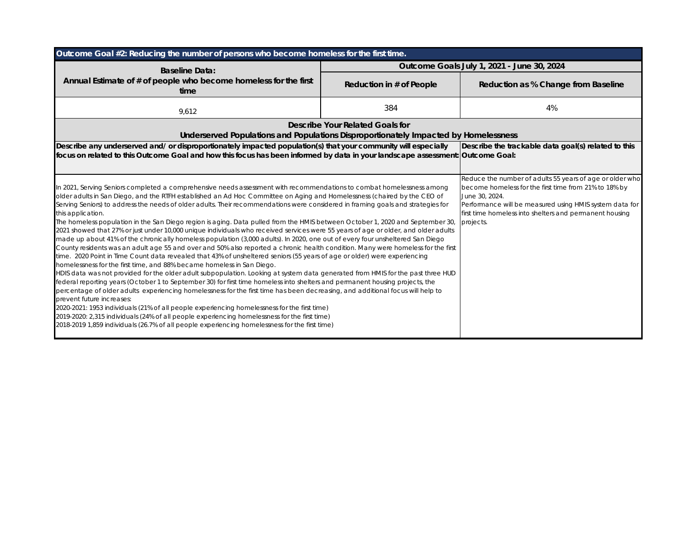| Outcome Goal #2: Reducing the number of persons who become homeless for the first time.                                                                                                                                                                                                                                                                                                                                                                                                                                                                                                                                                                                                                                                                                                                                                                                                                                                                                                                                                                                                                                                                                                                                                                                                                                                                                                                                                                                                                                                                                                                                                                                                                                                                                                                                                                                                             |                                 |                                                                                                                                                                                                                                                                        |
|-----------------------------------------------------------------------------------------------------------------------------------------------------------------------------------------------------------------------------------------------------------------------------------------------------------------------------------------------------------------------------------------------------------------------------------------------------------------------------------------------------------------------------------------------------------------------------------------------------------------------------------------------------------------------------------------------------------------------------------------------------------------------------------------------------------------------------------------------------------------------------------------------------------------------------------------------------------------------------------------------------------------------------------------------------------------------------------------------------------------------------------------------------------------------------------------------------------------------------------------------------------------------------------------------------------------------------------------------------------------------------------------------------------------------------------------------------------------------------------------------------------------------------------------------------------------------------------------------------------------------------------------------------------------------------------------------------------------------------------------------------------------------------------------------------------------------------------------------------------------------------------------------------|---------------------------------|------------------------------------------------------------------------------------------------------------------------------------------------------------------------------------------------------------------------------------------------------------------------|
| <b>Baseline Data:</b>                                                                                                                                                                                                                                                                                                                                                                                                                                                                                                                                                                                                                                                                                                                                                                                                                                                                                                                                                                                                                                                                                                                                                                                                                                                                                                                                                                                                                                                                                                                                                                                                                                                                                                                                                                                                                                                                               |                                 | Outcome Goals July 1, 2021 - June 30, 2024                                                                                                                                                                                                                             |
| Annual Estimate of # of people who become homeless for the first<br>time                                                                                                                                                                                                                                                                                                                                                                                                                                                                                                                                                                                                                                                                                                                                                                                                                                                                                                                                                                                                                                                                                                                                                                                                                                                                                                                                                                                                                                                                                                                                                                                                                                                                                                                                                                                                                            | Reduction in # of People        | Reduction as % Change from Baseline                                                                                                                                                                                                                                    |
| 9,612                                                                                                                                                                                                                                                                                                                                                                                                                                                                                                                                                                                                                                                                                                                                                                                                                                                                                                                                                                                                                                                                                                                                                                                                                                                                                                                                                                                                                                                                                                                                                                                                                                                                                                                                                                                                                                                                                               | 384                             | 4%                                                                                                                                                                                                                                                                     |
| Underserved Populations and Populations Disproportionately Impacted by Homelessness                                                                                                                                                                                                                                                                                                                                                                                                                                                                                                                                                                                                                                                                                                                                                                                                                                                                                                                                                                                                                                                                                                                                                                                                                                                                                                                                                                                                                                                                                                                                                                                                                                                                                                                                                                                                                 | Describe Your Related Goals for |                                                                                                                                                                                                                                                                        |
| Describe any underserved and/ or disproportionately impacted population(s) that your community will especially<br>focus on related to this Outcome Goal and how this focus has been informed by data in your landscape assessment: Outcome Goal:                                                                                                                                                                                                                                                                                                                                                                                                                                                                                                                                                                                                                                                                                                                                                                                                                                                                                                                                                                                                                                                                                                                                                                                                                                                                                                                                                                                                                                                                                                                                                                                                                                                    |                                 | Describe the trackable data goal(s) related to this                                                                                                                                                                                                                    |
| In 2021, Serving Seniors completed a comprehensive needs assessment with recommendations to combat homelessness among<br>older adults in San Diego, and the RTFH established an Ad Hoc Committee on Aging and Homelessness (chaired by the CEO of<br>Serving Seniors) to address the needs of older adults. Their recommendations were considered in framing goals and strategies for<br>this application.<br>The homeless population in the San Diego region is aging. Data pulled from the HMIS between October 1, 2020 and September 30,<br>2021 showed that 27% or just under 10,000 unique individuals who received services were 55 years of age or older, and older adults<br>made up about 41% of the chronically homeless population (3,000 adults). In 2020, one out of every four unsheltered San Diego<br>County residents was an adult age 55 and over and 50% also reported a chronic health condition. Many were homeless for the first<br>time. 2020 Point in Time Count data revealed that 43% of unsheltered seniors (55 years of age or older) were experiencing<br>homelessness for the first time, and 88% became homeless in San Diego.<br>HDIS data was not provided for the older adult subpopulation. Looking at system data generated from HMIS for the past three HUD<br>federal reporting years (October 1 to September 30) for first time homeless into shelters and permanent housing projects, the<br>percentage of older adults experiencing homelessness for the first time has been decreasing, and additional focus will help to<br>prevent future increases:<br>2020-2021: 1953 individuals (21% of all people experiencing homelessness for the first time)<br>2019-2020: 2,315 individuals (24% of all people experiencing homelessness for the first time)<br>2018-2019 1,859 individuals (26.7% of all people experiencing homelessness for the first time) |                                 | Reduce the number of adults 55 years of age or older who<br>become homeless for the first time from 21% to 18% by<br>June 30, 2024.<br>Performance will be measured using HMIS system data for<br>first time homeless into shelters and permanent housing<br>projects. |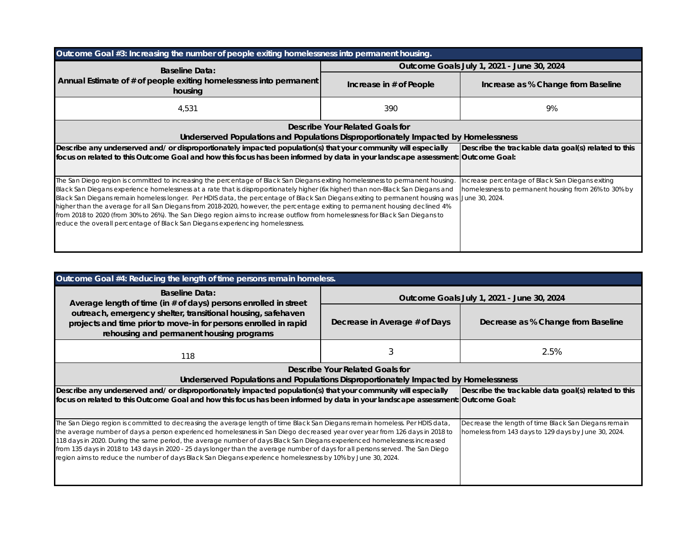| Outcome Goal #3: Increasing the number of people exiting homelessness into permanent housing.                                                                                                                                                                                                                                                                                                                                                                                                                                                                                                                                                                                                                                                                        |                                                                                                          |                                    |  |  |  |  |  |
|----------------------------------------------------------------------------------------------------------------------------------------------------------------------------------------------------------------------------------------------------------------------------------------------------------------------------------------------------------------------------------------------------------------------------------------------------------------------------------------------------------------------------------------------------------------------------------------------------------------------------------------------------------------------------------------------------------------------------------------------------------------------|----------------------------------------------------------------------------------------------------------|------------------------------------|--|--|--|--|--|
| <b>Baseline Data:</b>                                                                                                                                                                                                                                                                                                                                                                                                                                                                                                                                                                                                                                                                                                                                                | Outcome Goals July 1, 2021 - June 30, 2024                                                               |                                    |  |  |  |  |  |
| Annual Estimate of # of people exiting homelessness into permanent<br>housing                                                                                                                                                                                                                                                                                                                                                                                                                                                                                                                                                                                                                                                                                        | Increase in # of People                                                                                  | Increase as % Change from Baseline |  |  |  |  |  |
| 4,531                                                                                                                                                                                                                                                                                                                                                                                                                                                                                                                                                                                                                                                                                                                                                                | 390                                                                                                      | 9%                                 |  |  |  |  |  |
| Describe Your Related Goals for<br>Underserved Populations and Populations Disproportionately Impacted by Homelessness                                                                                                                                                                                                                                                                                                                                                                                                                                                                                                                                                                                                                                               |                                                                                                          |                                    |  |  |  |  |  |
| Describe any underserved and/ or disproportionately impacted population(s) that your community will especially<br>focus on related to this Outcome Goal and how this focus has been informed by data in your landscape assessment: [Outcome Goal:                                                                                                                                                                                                                                                                                                                                                                                                                                                                                                                    | Describe the trackable data goal(s) related to this                                                      |                                    |  |  |  |  |  |
| The San Diego region is committed to increasing the percentage of Black San Diegans exiting homelessness to permanent housing.<br>Black San Diegans experience homelessness at a rate that is disproportionately higher (6x higher) than non-Black San Diegans and<br>Black San Diegans remain homeless longer. Per HDIS data, the percentage of Black San Diegans exiting to permanent housing was June 30, 2024.<br>higher than the average for all San Diegans from 2018-2020, however, the percentage exiting to permanent housing declined 4%<br>from 2018 to 2020 (from 30% to 26%). The San Diego region aims to increase outflow from homelessness for Black San Diegans to<br>reduce the overall percentage of Black San Diegans experiencing homelessness. | Increase percentage of Black San Diegans exiting<br>homelessness to permanent housing from 26% to 30% by |                                    |  |  |  |  |  |

| Outcome Goal #4: Reducing the length of time persons remain homeless.                                                                                                                                                                                                                                                                                                                                                                                                                                                                                                                                                                       |                                                     |                                                                                                              |  |  |  |  |
|---------------------------------------------------------------------------------------------------------------------------------------------------------------------------------------------------------------------------------------------------------------------------------------------------------------------------------------------------------------------------------------------------------------------------------------------------------------------------------------------------------------------------------------------------------------------------------------------------------------------------------------------|-----------------------------------------------------|--------------------------------------------------------------------------------------------------------------|--|--|--|--|
| <b>Baseline Data:</b><br>Average length of time (in # of days) persons enrolled in street                                                                                                                                                                                                                                                                                                                                                                                                                                                                                                                                                   | Outcome Goals July 1, 2021 - June 30, 2024          |                                                                                                              |  |  |  |  |
| outreach, emergency shelter, transitional housing, safehaven<br>projects and time prior to move-in for persons enrolled in rapid<br>rehousing and permanent housing programs                                                                                                                                                                                                                                                                                                                                                                                                                                                                | Decrease in Average # of Days                       | Decrease as % Change from Baseline                                                                           |  |  |  |  |
| 118                                                                                                                                                                                                                                                                                                                                                                                                                                                                                                                                                                                                                                         |                                                     | 2.5%                                                                                                         |  |  |  |  |
| Describe Your Related Goals for<br>Underserved Populations and Populations Disproportionately Impacted by Homelessness                                                                                                                                                                                                                                                                                                                                                                                                                                                                                                                      |                                                     |                                                                                                              |  |  |  |  |
| Describe any underserved and/ or disproportionately impacted population(s) that your community will especially<br>focus on related to this Outcome Goal and how this focus has been informed by data in your landscape assessment: [Outcome Goal:                                                                                                                                                                                                                                                                                                                                                                                           | Describe the trackable data goal(s) related to this |                                                                                                              |  |  |  |  |
| The San Diego region is committed to decreasing the average length of time Black San Diegans remain homeless. Per HDIS data,<br>the average number of days a person experienced homelessness in San Diego decreased year over year from 126 days in 2018 to<br>118 days in 2020. During the same period, the average number of days Black San Diegans experienced homelessness increased<br>from 135 days in 2018 to 143 days in 2020 - 25 days longer than the average number of days for all persons served. The San Diego<br>region aims to reduce the number of days Black San Diegans experience homelessness by 10% by June 30, 2024. |                                                     | Decrease the length of time Black San Diegans remain<br>homeless from 143 days to 129 days by June 30, 2024. |  |  |  |  |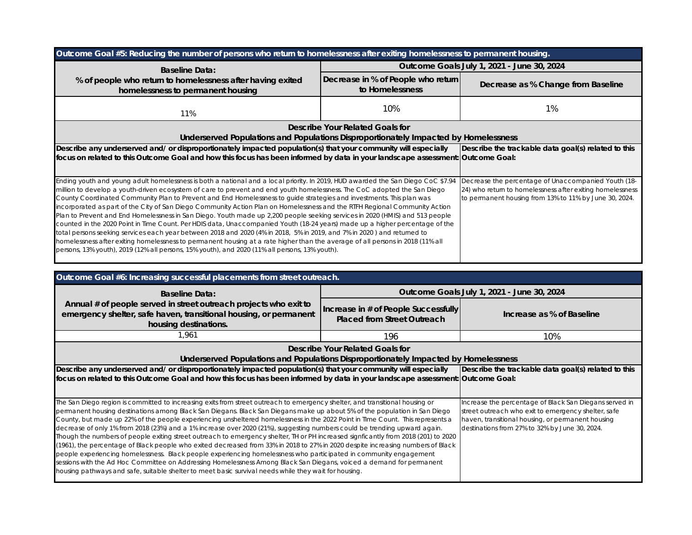| Outcome Goal #5: Reducing the number of persons who return to homelessness after exiting homelessness to permanent housing.                                                                                                                                                                                                                                                                                                                                                                                                                                                                                                                                                                                                                                                                                                                                                                                                                                                                                                                                                                                                                       |                                                       |                                                                                                                                                                            |  |  |  |
|---------------------------------------------------------------------------------------------------------------------------------------------------------------------------------------------------------------------------------------------------------------------------------------------------------------------------------------------------------------------------------------------------------------------------------------------------------------------------------------------------------------------------------------------------------------------------------------------------------------------------------------------------------------------------------------------------------------------------------------------------------------------------------------------------------------------------------------------------------------------------------------------------------------------------------------------------------------------------------------------------------------------------------------------------------------------------------------------------------------------------------------------------|-------------------------------------------------------|----------------------------------------------------------------------------------------------------------------------------------------------------------------------------|--|--|--|
| <b>Baseline Data:</b>                                                                                                                                                                                                                                                                                                                                                                                                                                                                                                                                                                                                                                                                                                                                                                                                                                                                                                                                                                                                                                                                                                                             |                                                       | Outcome Goals July 1, 2021 - June 30, 2024                                                                                                                                 |  |  |  |
| % of people who return to homelessness after having exited<br>homelessness to permanent housing                                                                                                                                                                                                                                                                                                                                                                                                                                                                                                                                                                                                                                                                                                                                                                                                                                                                                                                                                                                                                                                   | Decrease in % of People who return<br>to Homelessness | Decrease as % Change from Baseline                                                                                                                                         |  |  |  |
| 11%                                                                                                                                                                                                                                                                                                                                                                                                                                                                                                                                                                                                                                                                                                                                                                                                                                                                                                                                                                                                                                                                                                                                               | 10%                                                   | $1\%$                                                                                                                                                                      |  |  |  |
|                                                                                                                                                                                                                                                                                                                                                                                                                                                                                                                                                                                                                                                                                                                                                                                                                                                                                                                                                                                                                                                                                                                                                   | Describe Your Related Goals for                       |                                                                                                                                                                            |  |  |  |
| Underserved Populations and Populations Disproportionately Impacted by Homelessness                                                                                                                                                                                                                                                                                                                                                                                                                                                                                                                                                                                                                                                                                                                                                                                                                                                                                                                                                                                                                                                               |                                                       |                                                                                                                                                                            |  |  |  |
| Describe any underserved and/ or disproportionately impacted population(s) that your community will especially<br>focus on related to this Outcome Goal and how this focus has been informed by data in your landscape assessment: [Outcome Goal:                                                                                                                                                                                                                                                                                                                                                                                                                                                                                                                                                                                                                                                                                                                                                                                                                                                                                                 | Describe the trackable data goal(s) related to this   |                                                                                                                                                                            |  |  |  |
| Ending youth and young adult homelessness is both a national and a local priority. In 2019, HUD awarded the San Diego CoC \$7.94<br>million to develop a youth-driven ecosystem of care to prevent and end youth homelessness. The CoC adopted the San Diego<br>County Coordinated Community Plan to Prevent and End Homelessness to quide strategies and investments. This plan was<br>incorporated as part of the City of San Diego Community Action Plan on Homelessness and the RTFH Regional Community Action<br>Plan to Prevent and End Homelessness in San Diego. Youth made up 2,200 people seeking services in 2020 (HMIS) and 513 people<br>counted in the 2020 Point in Time Count. Per HDIS data, Unaccompanied Youth (18-24 years) made up a higher percentage of the<br>total persons seeking services each year between 2018 and 2020 (4% in 2018, 5% in 2019, and 7% in 2020) and returned to<br>homelessness after exiting homelessness to permanent housing at a rate higher than the average of all persons in 2018 (11% all<br>persons, 13% youth), 2019 (12% all persons, 15% youth), and 2020 (11% all persons, 13% youth). |                                                       | Decrease the percentage of Unaccompanied Youth (18-<br>24) who return to homelessness after exiting homelessness<br>to permanent housing from 13% to 11% by June 30, 2024. |  |  |  |

| Outcome Goal #6: Increasing successful placements from street outreach.                                                                                                                                                                                                                                                                                                                                                                                                                                                                                                                                                                                                                                                                                                                                                                                                                                                                                                                                                                                                                                                                                 |                                                                                                                                                                                                                      |                                            |  |
|---------------------------------------------------------------------------------------------------------------------------------------------------------------------------------------------------------------------------------------------------------------------------------------------------------------------------------------------------------------------------------------------------------------------------------------------------------------------------------------------------------------------------------------------------------------------------------------------------------------------------------------------------------------------------------------------------------------------------------------------------------------------------------------------------------------------------------------------------------------------------------------------------------------------------------------------------------------------------------------------------------------------------------------------------------------------------------------------------------------------------------------------------------|----------------------------------------------------------------------------------------------------------------------------------------------------------------------------------------------------------------------|--------------------------------------------|--|
| <b>Baseline Data:</b>                                                                                                                                                                                                                                                                                                                                                                                                                                                                                                                                                                                                                                                                                                                                                                                                                                                                                                                                                                                                                                                                                                                                   |                                                                                                                                                                                                                      | Outcome Goals July 1, 2021 - June 30, 2024 |  |
| Annual # of people served in street outreach projects who exit to<br>emergency shelter, safe haven, transitional housing, or permanent<br>housing destinations.                                                                                                                                                                                                                                                                                                                                                                                                                                                                                                                                                                                                                                                                                                                                                                                                                                                                                                                                                                                         | Increase in # of People Successfully<br><b>Placed from Street Outreach</b>                                                                                                                                           | Increase as % of Baseline                  |  |
| 1,961                                                                                                                                                                                                                                                                                                                                                                                                                                                                                                                                                                                                                                                                                                                                                                                                                                                                                                                                                                                                                                                                                                                                                   | 10%                                                                                                                                                                                                                  |                                            |  |
| Describe Your Related Goals for                                                                                                                                                                                                                                                                                                                                                                                                                                                                                                                                                                                                                                                                                                                                                                                                                                                                                                                                                                                                                                                                                                                         |                                                                                                                                                                                                                      |                                            |  |
| Underserved Populations and Populations Disproportionately Impacted by Homelessness                                                                                                                                                                                                                                                                                                                                                                                                                                                                                                                                                                                                                                                                                                                                                                                                                                                                                                                                                                                                                                                                     |                                                                                                                                                                                                                      |                                            |  |
| Describe any underserved and/ or disproportionately impacted population(s) that your community will especially<br>focus on related to this Outcome Goal and how this focus has been informed by data in your landscape assessment:  Outcome Goal:                                                                                                                                                                                                                                                                                                                                                                                                                                                                                                                                                                                                                                                                                                                                                                                                                                                                                                       | Describe the trackable data goal(s) related to this                                                                                                                                                                  |                                            |  |
| The San Diego region is committed to increasing exits from street outreach to emergency shelter, and transitional housing or<br>permanent housing destinations among Black San Diegans. Black San Diegans make up about 5% of the population in San Diego<br>County, but made up 22% of the people experiencing unsheltered homelessness in the 2022 Point in TIme Count. This represents a<br>decrease of only 1% from 2018 (23%) and a 1% increase over 2020 (21%), suggesting numbers could be trending upward again.<br>Though the numbers of people exiting street outreach to emergency shelter, TH or PH increased signficantly from 2018 (201) to 2020<br>(1961), the percentage of Black people who exited decreased from 33% in 2018 to 27% in 2020 despite increasing numbers of Black<br>people experiencing homelessness. Black people experiencing homelessness who participated in community engagement<br>sessions with the Ad Hoc Committee on Addressing Homelessness Among Black San Diegans, voiced a demand for permanent<br>housing pathways and safe, suitable shelter to meet basic survival needs while they wait for housing. | Increase the percentage of Black San Diegans served in<br>street outreach who exit to emergency shelter, safe<br>haven, transitional housing, or permanent housing<br>destinations from 27% to 32% by June 30, 2024. |                                            |  |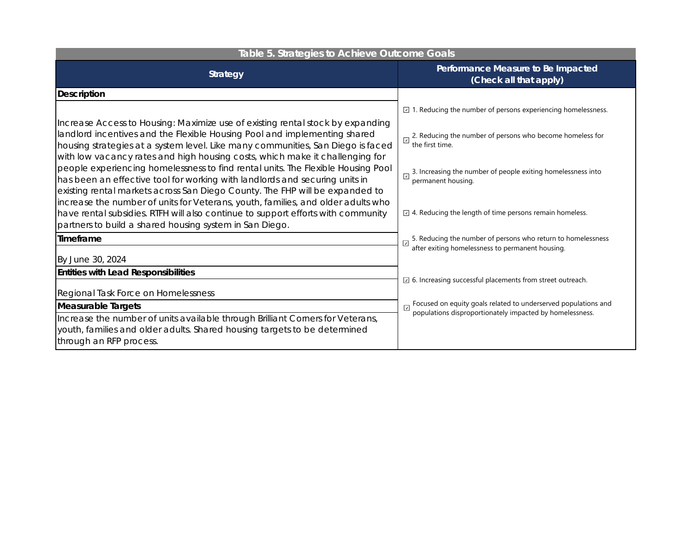| Table 5. Strategies to Achieve Outcome Goals                                                                                                                                                                                                                                                                                   |                                                                                                                                 |  |
|--------------------------------------------------------------------------------------------------------------------------------------------------------------------------------------------------------------------------------------------------------------------------------------------------------------------------------|---------------------------------------------------------------------------------------------------------------------------------|--|
| <b>Strategy</b>                                                                                                                                                                                                                                                                                                                | Performance Measure to Be Impacted<br>(Check all that apply)                                                                    |  |
| <b>Description</b>                                                                                                                                                                                                                                                                                                             |                                                                                                                                 |  |
|                                                                                                                                                                                                                                                                                                                                | $\Box$ 1. Reducing the number of persons experiencing homelessness.                                                             |  |
| Increase Access to Housing: Maximize use of existing rental stock by expanding<br>landlord incentives and the Flexible Housing Pool and implementing shared<br>housing strategies at a system level. Like many communities, San Diego is faced<br>with low vacancy rates and high housing costs, which make it challenging for | 2. Reducing the number of persons who become homeless for<br>the first time.                                                    |  |
| people experiencing homelessness to find rental units. The Flexible Housing Pool<br>has been an effective tool for working with landlords and securing units in<br>existing rental markets across San Diego County. The FHP will be expanded to                                                                                | 3. Increasing the number of people exiting homelessness into<br>⊡<br>permanent housing.                                         |  |
| increase the number of units for Veterans, youth, families, and older adults who<br>have rental subsidies. RTFH will also continue to support efforts with community<br>partners to build a shared housing system in San Diego.                                                                                                | $\boxed{\phantom{1}}$ 4. Reducing the length of time persons remain homeless.                                                   |  |
| Timeframe                                                                                                                                                                                                                                                                                                                      | 5. Reducing the number of persons who return to homelessness                                                                    |  |
| By June 30, 2024                                                                                                                                                                                                                                                                                                               | after exiting homelessness to permanent housing.                                                                                |  |
| <b>Entities with Lead Responsibilities</b>                                                                                                                                                                                                                                                                                     | $\boxdot$ 6. Increasing successful placements from street outreach.                                                             |  |
| Regional Task Force on Homelessness                                                                                                                                                                                                                                                                                            |                                                                                                                                 |  |
| <b>Measurable Targets</b>                                                                                                                                                                                                                                                                                                      | Focused on equity goals related to underserved populations and<br>populations disproportionately impacted by homelessness.<br>⊡ |  |
| Increase the number of units available through Brilliant Corners for Veterans,<br>youth, families and older adults. Shared housing targets to be determined<br>through an RFP process.                                                                                                                                         |                                                                                                                                 |  |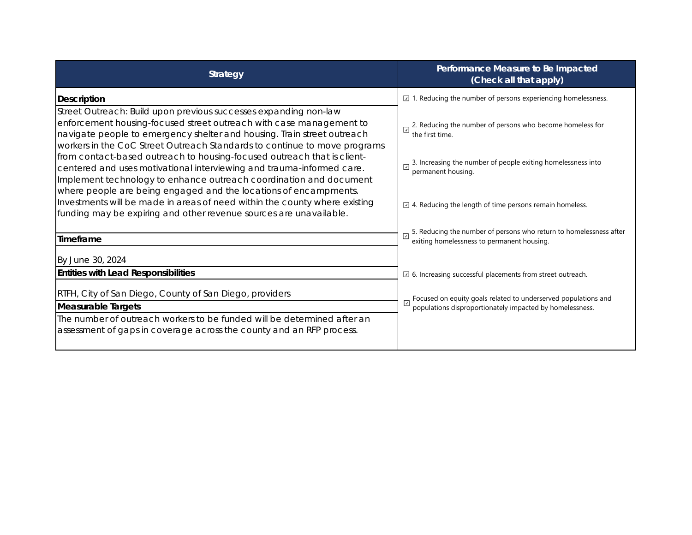| <b>Strategy</b>                                                                                                                                                                                                                                                                                                                                                                                                                                                                                                           | Performance Measure to Be Impacted<br>(Check all that apply)                                                                                                       |
|---------------------------------------------------------------------------------------------------------------------------------------------------------------------------------------------------------------------------------------------------------------------------------------------------------------------------------------------------------------------------------------------------------------------------------------------------------------------------------------------------------------------------|--------------------------------------------------------------------------------------------------------------------------------------------------------------------|
| <b>Description</b>                                                                                                                                                                                                                                                                                                                                                                                                                                                                                                        | $\Box$ 1. Reducing the number of persons experiencing homelessness.                                                                                                |
| Street Outreach: Build upon previous successes expanding non-law<br>enforcement housing-focused street outreach with case management to<br>navigate people to emergency shelter and housing. Train street outreach<br>workers in the CoC Street Outreach Standards to continue to move programs<br>from contact-based outreach to housing-focused outreach that is client-<br>centered and uses motivational interviewing and trauma-informed care.<br>Implement technology to enhance outreach coordination and document | 2. Reducing the number of persons who become homeless for<br>the first time.<br>3. Increasing the number of people exiting homelessness into<br>permanent housing. |
| where people are being engaged and the locations of encampments.<br>Investments will be made in areas of need within the county where existing<br>funding may be expiring and other revenue sources are unavailable.                                                                                                                                                                                                                                                                                                      | $\boxdot$ 4. Reducing the length of time persons remain homeless.                                                                                                  |
| Timeframe                                                                                                                                                                                                                                                                                                                                                                                                                                                                                                                 | 5. Reducing the number of persons who return to homelessness after exiting homelessness to permanent housing.                                                      |
| By June 30, 2024                                                                                                                                                                                                                                                                                                                                                                                                                                                                                                          |                                                                                                                                                                    |
| <b>Entities with Lead Responsibilities</b>                                                                                                                                                                                                                                                                                                                                                                                                                                                                                | $\Box$ 6. Increasing successful placements from street outreach.                                                                                                   |
| RTFH, City of San Diego, County of San Diego, providers<br><b>Measurable Targets</b>                                                                                                                                                                                                                                                                                                                                                                                                                                      | Focused on equity goals related to underserved populations and<br>populations disproportionately impacted by homelessness.<br>$\sqrt{2}$                           |
| The number of outreach workers to be funded will be determined after an<br>assessment of gaps in coverage across the county and an RFP process.                                                                                                                                                                                                                                                                                                                                                                           |                                                                                                                                                                    |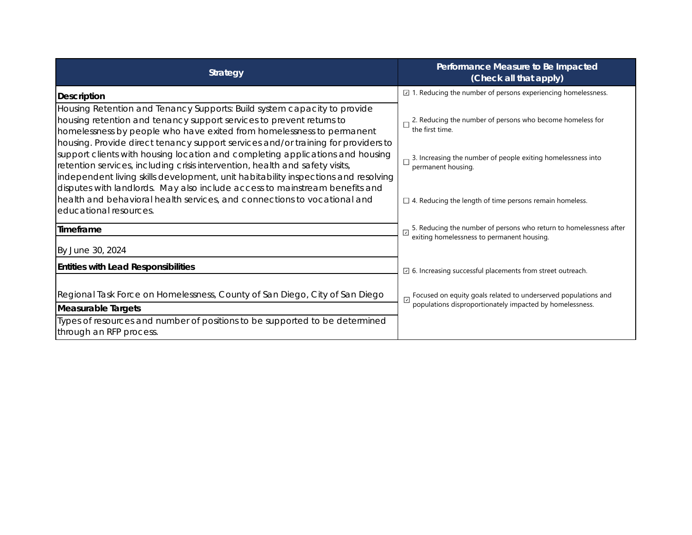| <b>Strategy</b>                                                                                                                                                                                                                                                                                                                                                                                                                                                                                                                                                       | Performance Measure to Be Impacted<br>(Check all that apply)                                                                                                       |
|-----------------------------------------------------------------------------------------------------------------------------------------------------------------------------------------------------------------------------------------------------------------------------------------------------------------------------------------------------------------------------------------------------------------------------------------------------------------------------------------------------------------------------------------------------------------------|--------------------------------------------------------------------------------------------------------------------------------------------------------------------|
| <b>Description</b>                                                                                                                                                                                                                                                                                                                                                                                                                                                                                                                                                    | $\boxed{2}$ 1. Reducing the number of persons experiencing homelessness.                                                                                           |
| Housing Retention and Tenancy Supports: Build system capacity to provide<br>housing retention and tenancy support services to prevent returns to<br>homelessness by people who have exited from homelessness to permanent<br>housing. Provide direct tenancy support services and/or training for providers to<br>support clients with housing location and completing applications and housing<br>retention services, including crisis intervention, health and safety visits,<br>independent living skills development, unit habitability inspections and resolving | 2. Reducing the number of persons who become homeless for<br>the first time.<br>3. Increasing the number of people exiting homelessness into<br>permanent housing. |
| disputes with landlords. May also include access to mainstream benefits and<br>health and behavioral health services, and connections to vocational and<br>educational resources.                                                                                                                                                                                                                                                                                                                                                                                     | $\Box$ 4. Reducing the length of time persons remain homeless.                                                                                                     |
| <b>Timeframe</b>                                                                                                                                                                                                                                                                                                                                                                                                                                                                                                                                                      | 5. Reducing the number of persons who return to homelessness after<br>exiting homelessness to permanent housing.                                                   |
| By June 30, 2024                                                                                                                                                                                                                                                                                                                                                                                                                                                                                                                                                      |                                                                                                                                                                    |
| <b>Entities with Lead Responsibilities</b>                                                                                                                                                                                                                                                                                                                                                                                                                                                                                                                            | $\Box$ 6. Increasing successful placements from street outreach.                                                                                                   |
| Regional Task Force on Homelessness, County of San Diego, City of San Diego<br><b>Measurable Targets</b>                                                                                                                                                                                                                                                                                                                                                                                                                                                              | $\Box$ Focused on equity goals related to underserved populations and populations disproportionately impacted by homelessness.                                     |
| Types of resources and number of positions to be supported to be determined<br>through an RFP process.                                                                                                                                                                                                                                                                                                                                                                                                                                                                |                                                                                                                                                                    |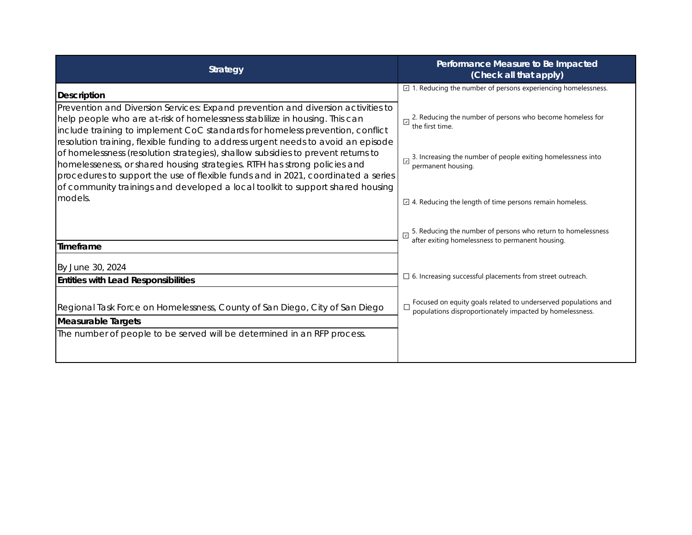| <b>Strategy</b>                                                                                                                                                                                                                                                                                                                      | Performance Measure to Be Impacted<br>(Check all that apply)                                                               |
|--------------------------------------------------------------------------------------------------------------------------------------------------------------------------------------------------------------------------------------------------------------------------------------------------------------------------------------|----------------------------------------------------------------------------------------------------------------------------|
| <b>Description</b>                                                                                                                                                                                                                                                                                                                   | $\Box$ 1. Reducing the number of persons experiencing homelessness.                                                        |
| Prevention and Diversion Services: Expand prevention and diversion activities to<br>help people who are at-risk of homelessness stabilize in housing. This can<br>include training to implement CoC standards for homeless prevention, conflict<br>resolution training, flexible funding to address urgent needs to avoid an episode | 2. Reducing the number of persons who become homeless for<br>⊡<br>the first time.                                          |
| of homelessness (resolution strategies), shallow subsidies to prevent returns to<br>homelesseness, or shared housing strategies. RTFH has strong policies and<br>procedures to support the use of flexible funds and in 2021, coordinated a series<br>of community trainings and developed a local toolkit to support shared housing | 3. Increasing the number of people exiting homelessness into<br>permanent housing.                                         |
| models.                                                                                                                                                                                                                                                                                                                              | $\Box$ 4. Reducing the length of time persons remain homeless.                                                             |
| Timeframe                                                                                                                                                                                                                                                                                                                            | 5. Reducing the number of persons who return to homelessness after exiting homelessness to permanent housing.              |
| By June 30, 2024<br><b>Entities with Lead Responsibilities</b>                                                                                                                                                                                                                                                                       | $\Box$ 6. Increasing successful placements from street outreach.                                                           |
| Regional Task Force on Homelessness, County of San Diego, City of San Diego<br><b>Measurable Targets</b>                                                                                                                                                                                                                             | Focused on equity goals related to underserved populations and<br>populations disproportionately impacted by homelessness. |
| The number of people to be served will be determined in an RFP process.                                                                                                                                                                                                                                                              |                                                                                                                            |
|                                                                                                                                                                                                                                                                                                                                      |                                                                                                                            |